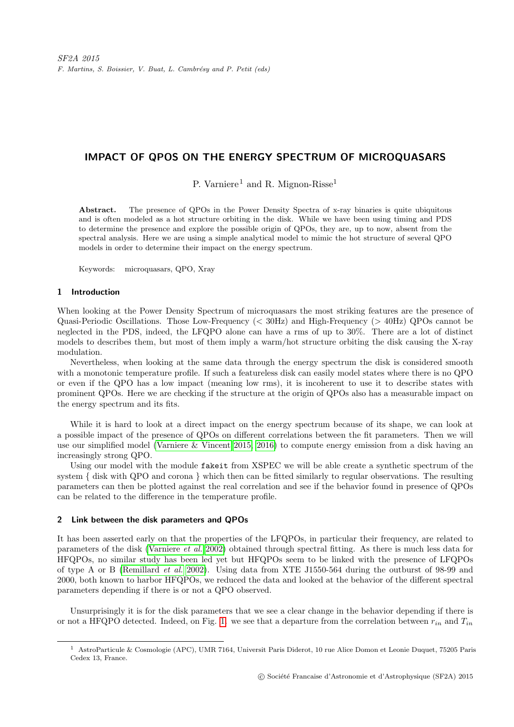# IMPACT OF QPOS ON THE ENERGY SPECTRUM OF MICROQUASARS

P. Varniere<sup>1</sup> and R. Mignon-Risse<sup>1</sup>

Abstract. The presence of QPOs in the Power Density Spectra of x-ray binaries is quite ubiquitous and is often modeled as a hot structure orbiting in the disk. While we have been using timing and PDS to determine the presence and explore the possible origin of QPOs, they are, up to now, absent from the spectral analysis. Here we are using a simple analytical model to mimic the hot structure of several QPO models in order to determine their impact on the energy spectrum.

Keywords: microquasars, QPO, Xray

## 1 Introduction

When looking at the Power Density Spectrum of microquasars the most striking features are the presence of Quasi-Periodic Oscillations. Those Low-Frequency (< 30Hz) and High-Frequency (> 40Hz) QPOs cannot be neglected in the PDS, indeed, the LFQPO alone can have a rms of up to 30%. There are a lot of distinct models to describes them, but most of them imply a warm/hot structure orbiting the disk causing the X-ray modulation.

Nevertheless, when looking at the same data through the energy spectrum the disk is considered smooth with a monotonic temperature profile. If such a featureless disk can easily model states where there is no QPO or even if the QPO has a low impact (meaning low rms), it is incoherent to use it to describe states with prominent QPOs. Here we are checking if the structure at the origin of QPOs also has a measurable impact on the energy spectrum and its fits.

While it is hard to look at a direct impact on the energy spectrum because of its shape, we can look at a possible impact of the presence of QPOs on different correlations between the fit parameters. Then we will use our simplified model [\(Varniere & Vincent 2015,](#page-3-0) [2016\)](#page-3-1) to compute energy emission from a disk having an increasingly strong QPO.

Using our model with the module fakeit from XSPEC we will be able create a synthetic spectrum of the system { disk with QPO and corona } which then can be fitted similarly to regular observations. The resulting parameters can then be plotted against the real correlation and see if the behavior found in presence of QPOs can be related to the difference in the temperature profile.

### 2 Link between the disk parameters and QPOs

It has been asserted early on that the properties of the LFQPOs, in particular their frequency, are related to parameters of the disk [\(Varniere](#page-3-2) et al. [2002\)](#page-3-2) obtained through spectral fitting. As there is much less data for HFQPOs, no similar study has been led yet but HFQPOs seem to be linked with the presence of LFQPOs of type A or B [\(Remillard](#page-3-3) et al. [2002\)](#page-3-3). Using data from XTE J1550-564 during the outburst of 98-99 and 2000, both known to harbor HFQPOs, we reduced the data and looked at the behavior of the different spectral parameters depending if there is or not a QPO observed.

Unsurprisingly it is for the disk parameters that we see a clear change in the behavior depending if there is or not a HFQPO detected. Indeed, on Fig. [1.](#page-1-0) we see that a departure from the correlation between  $r_{in}$  and  $T_{in}$ 

<sup>1</sup> AstroParticule & Cosmologie (APC), UMR 7164, Universit Paris Diderot, 10 rue Alice Domon et Leonie Duquet, 75205 Paris Cedex 13, France.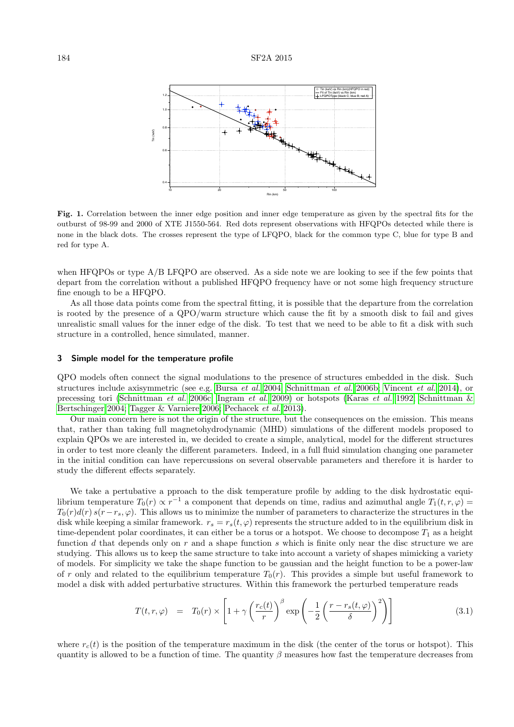

<span id="page-1-0"></span>Fig. 1. Correlation between the inner edge position and inner edge temperature as given by the spectral fits for the outburst of 98-99 and 2000 of XTE J1550-564. Red dots represent observations with HFQPOs detected while there is none in the black dots. The crosses represent the type of LFQPO, black for the common type C, blue for type B and red for type A.

when HFQPOs or type A/B LFQPO are observed. As a side note we are looking to see if the few points that depart from the correlation without a published HFQPO frequency have or not some high frequency structure fine enough to be a HFQPO.

As all those data points come from the spectral fitting, it is possible that the departure from the correlation is rooted by the presence of a QPO/warm structure which cause the fit by a smooth disk to fail and gives unrealistic small values for the inner edge of the disk. To test that we need to be able to fit a disk with such structure in a controlled, hence simulated, manner.

#### 3 Simple model for the temperature profile

QPO models often connect the signal modulations to the presence of structures embedded in the disk. Such structures include axisymmetric (see e.g. [Bursa](#page-3-4) et al. [2004;](#page-3-4) [Schnittman](#page-3-5) et al. [2006b;](#page-3-5) [Vincent](#page-3-6) et al. [2014\)](#page-3-6), or precessing tori [\(Schnittman](#page-3-7) et al. [2006c;](#page-3-7) [Ingram](#page-3-8) et al. [2009\)](#page-3-8) or hotspots [\(Karas](#page-3-9) et al. [1992;](#page-3-9) [Schnittman &](#page-3-10) [Bertschinger 2004;](#page-3-10) [Tagger & Varniere 2006;](#page-3-11) [Pechacek](#page-3-12) et al. [2013\)](#page-3-12).

Our main concern here is not the origin of the structure, but the consequences on the emission. This means that, rather than taking full magnetohydrodynamic (MHD) simulations of the different models proposed to explain QPOs we are interested in, we decided to create a simple, analytical, model for the different structures in order to test more cleanly the different parameters. Indeed, in a full fluid simulation changing one parameter in the initial condition can have repercussions on several observable parameters and therefore it is harder to study the different effects separately.

We take a pertubative a pproach to the disk temperature profile by adding to the disk hydrostatic equilibrium temperature  $T_0(r) \propto r^{-1}$  a component that depends on time, radius and azimuthal angle  $T_1(t, r, \varphi)$  $T_0(r)d(r)$  s(r−r<sub>s</sub>,  $\varphi$ ). This allows us to minimize the number of parameters to characterize the structures in the disk while keeping a similar framework.  $r_s = r_s(t, \varphi)$  represents the structure added to in the equilibrium disk in time-dependent polar coordinates, it can either be a torus or a hotspot. We choose to decompose  $T_1$  as a height function d that depends only on  $r$  and a shape function  $s$  which is finite only near the disc structure we are studying. This allows us to keep the same structure to take into account a variety of shapes mimicking a variety of models. For simplicity we take the shape function to be gaussian and the height function to be a power-law of r only and related to the equilibrium temperature  $T_0(r)$ . This provides a simple but useful framework to model a disk with added perturbative structures. Within this framework the perturbed temperature reads

$$
T(t,r,\varphi) = T_0(r) \times \left[1 + \gamma \left(\frac{r_c(t)}{r}\right)^{\beta} \exp\left(-\frac{1}{2}\left(\frac{r - r_s(t,\varphi)}{\delta}\right)^2\right)\right]
$$
(3.1)

where  $r_c(t)$  is the position of the temperature maximum in the disk (the center of the torus or hotspot). This quantity is allowed to be a function of time. The quantity  $\beta$  measures how fast the temperature decreases from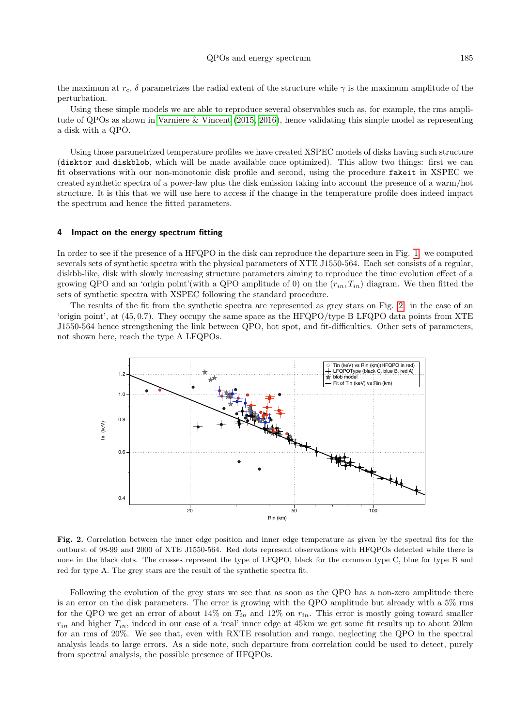the maximum at  $r_c$ , δ parametrizes the radial extent of the structure while  $\gamma$  is the maximum amplitude of the perturbation.

Using these simple models we are able to reproduce several observables such as, for example, the rms ampli-tude of QPOs as shown in [Varniere & Vincent](#page-3-0) [\(2015,](#page-3-0) [2016\)](#page-3-1), hence validating this simple model as representing a disk with a QPO.

Using those parametrized temperature profiles we have created XSPEC models of disks having such structure (disktor and diskblob, which will be made available once optimized). This allow two things: first we can fit observations with our non-monotonic disk profile and second, using the procedure fakeit in XSPEC we created synthetic spectra of a power-law plus the disk emission taking into account the presence of a warm/hot structure. It is this that we will use here to access if the change in the temperature profile does indeed impact the spectrum and hence the fitted parameters.

#### 4 Impact on the energy spectrum fitting

In order to see if the presence of a HFQPO in the disk can reproduce the departure seen in Fig. [1.](#page-1-0) we computed severals sets of synthetic spectra with the physical parameters of XTE J1550-564. Each set consists of a regular, diskbb-like, disk with slowly increasing structure parameters aiming to reproduce the time evolution effect of a growing QPO and an 'origin point'(with a QPO amplitude of 0) on the  $(r_{in}, T_{in})$  diagram. We then fitted the sets of synthetic spectra with XSPEC following the standard procedure.

The results of the fit from the synthetic spectra are represented as grey stars on Fig. [2.](#page-2-0) in the case of an 'origin point', at (45, 0.7). They occupy the same space as the HFQPO/type B LFQPO data points from XTE J1550-564 hence strengthening the link between QPO, hot spot, and fit-difficulties. Other sets of parameters, not shown here, reach the type A LFQPOs.



<span id="page-2-0"></span>Fig. 2. Correlation between the inner edge position and inner edge temperature as given by the spectral fits for the outburst of 98-99 and 2000 of XTE J1550-564. Red dots represent observations with HFQPOs detected while there is none in the black dots. The crosses represent the type of LFQPO, black for the common type C, blue for type B and red for type A. The grey stars are the result of the synthetic spectra fit.

Following the evolution of the grey stars we see that as soon as the QPO has a non-zero amplitude there is an error on the disk parameters. The error is growing with the QPO amplitude but already with a 5% rms for the QPO we get an error of about 14% on  $T_{in}$  and 12% on  $r_{in}$ . This error is mostly going toward smaller  $r_{in}$  and higher  $T_{in}$ , indeed in our case of a 'real' inner edge at 45km we get some fit results up to about 20km for an rms of 20%. We see that, even with RXTE resolution and range, neglecting the QPO in the spectral analysis leads to large errors. As a side note, such departure from correlation could be used to detect, purely from spectral analysis, the possible presence of HFQPOs.